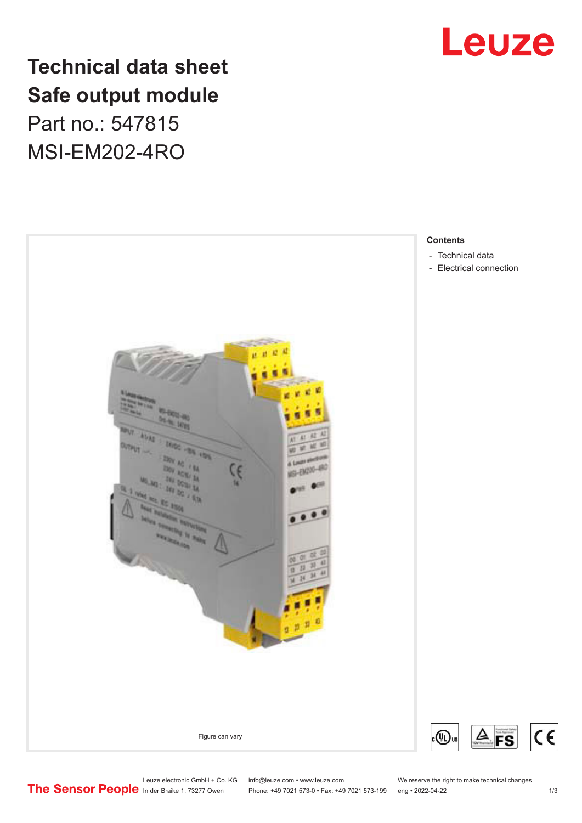

## **Technical data sheet Safe output module** Part no.: 547815

MSI-EM202-4RO



Leuze electronic GmbH + Co. KG info@leuze.com • www.leuze.com We reserve the right to make technical changes<br>
The Sensor People in der Braike 1, 73277 Owen Phone: +49 7021 573-0 • Fax: +49 7021 573-199 eng • 2022-04-22

Phone: +49 7021 573-0 • Fax: +49 7021 573-199 eng • 2022-04-22

 $C<sub>6</sub>$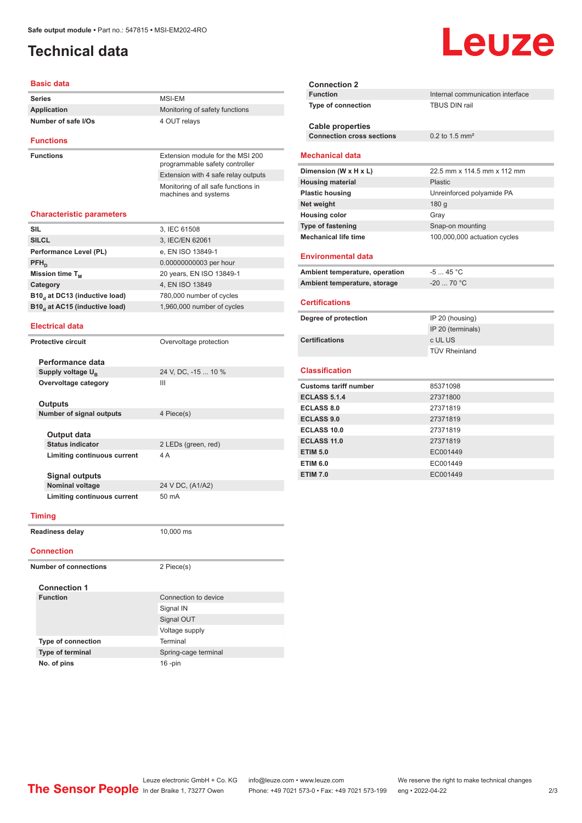### <span id="page-1-0"></span>**Technical data**

# Leuze

| Basic data                                |                                                             |
|-------------------------------------------|-------------------------------------------------------------|
| <b>Series</b>                             | MSI-EM                                                      |
| <b>Application</b>                        | Monitoring of safety functions                              |
| Number of safe I/Os                       | 4 OUT relays                                                |
| <b>Functions</b>                          |                                                             |
| <b>Functions</b>                          | Extension module for the MSI 200                            |
|                                           | programmable safety controller                              |
|                                           | Extension with 4 safe relay outputs                         |
|                                           | Monitoring of all safe functions in<br>machines and systems |
| <b>Characteristic parameters</b>          |                                                             |
| <b>SIL</b>                                | 3, IEC 61508                                                |
| <b>SILCL</b>                              | 3, IEC/EN 62061                                             |
| Performance Level (PL)                    | e, EN ISO 13849-1                                           |
| PFH <sub>D</sub>                          | 0.00000000003 per hour                                      |
| Mission time T <sub>M</sub>               | 20 years, EN ISO 13849-1                                    |
| Category                                  | 4, EN ISO 13849                                             |
| B10 <sub>d</sub> at DC13 (inductive load) | 780,000 number of cycles                                    |
| B10, at AC15 (inductive load)             | 1,960,000 number of cycles                                  |
|                                           |                                                             |
| <b>Electrical data</b>                    |                                                             |
| <b>Protective circuit</b>                 | Overvoltage protection                                      |
| Performance data                          |                                                             |
| Supply voltage U <sub>B</sub>             | 24 V, DC, -15  10 %                                         |
| Overvoltage category                      | Ш                                                           |
|                                           |                                                             |
| Outputs                                   |                                                             |
| Number of signal outputs                  | 4 Piece(s)                                                  |
|                                           |                                                             |
| Output data                               |                                                             |
| <b>Status indicator</b>                   | 2 LEDs (green, red)                                         |
| Limiting continuous current               | 4A                                                          |
| <b>Signal outputs</b>                     |                                                             |
| Nominal voltage                           | 24 V DC, (A1/A2)                                            |
| Limiting continuous current               | 50 mA                                                       |
|                                           |                                                             |
| <b>Timing</b>                             |                                                             |
| <b>Readiness delay</b>                    | 10,000 ms                                                   |
| <b>Connection</b>                         |                                                             |
|                                           |                                                             |
| <b>Number of connections</b>              | 2 Piece(s)                                                  |
|                                           |                                                             |
| <b>Connection 1</b>                       | Connection to device                                        |
| <b>Function</b>                           |                                                             |
|                                           | Signal IN                                                   |
|                                           | Signal OUT                                                  |
| Type of connection                        | Voltage supply<br>Terminal                                  |
| Type of terminal                          | Spring-cage terminal                                        |
|                                           |                                                             |

| <b>Connection 2</b>              |                                  |
|----------------------------------|----------------------------------|
| <b>Function</b>                  | Internal communication interface |
| <b>Type of connection</b>        | <b>TBUS DIN rail</b>             |
|                                  |                                  |
| <b>Cable properties</b>          |                                  |
| <b>Connection cross sections</b> | $0.2$ to 1.5 mm <sup>2</sup>     |
| <b>Mechanical data</b>           |                                  |
| Dimension (W x H x L)            | 22.5 mm x 114.5 mm x 112 mm      |
| <b>Housing material</b>          | Plastic                          |
| <b>Plastic housing</b>           | Unreinforced polyamide PA        |
| Net weight                       | 180 g                            |
| <b>Housing color</b>             | Gray                             |
| <b>Type of fastening</b>         | Snap-on mounting                 |
| <b>Mechanical life time</b>      | 100,000,000 actuation cycles     |
|                                  |                                  |
| <b>Environmental data</b>        |                                  |
| Ambient temperature, operation   | $-545 °C$                        |
| Ambient temperature, storage     | $-20$ 70 °C                      |
| <b>Certifications</b>            |                                  |
| Degree of protection             | IP 20 (housing)                  |
|                                  | IP 20 (terminals)                |
| <b>Certifications</b>            | c UL US                          |
|                                  | <b>TÜV Rheinland</b>             |
| <b>Classification</b>            |                                  |
|                                  |                                  |
| <b>Customs tariff number</b>     | 85371098                         |
| <b>ECLASS 5.1.4</b>              | 27371800                         |
| <b>ECLASS 8.0</b>                | 27371819                         |
| <b>ECLASS 9.0</b>                | 27371819                         |
| <b>ECLASS 10.0</b>               | 27371819                         |
| ECLASS 11.0                      | 27371819                         |
| <b>ETIM 5.0</b>                  | EC001449                         |
| <b>ETIM 6.0</b>                  | EC001449                         |
|                                  |                                  |
| <b>ETIM 7.0</b>                  | EC001449                         |

**No. of pins** 16 -pin